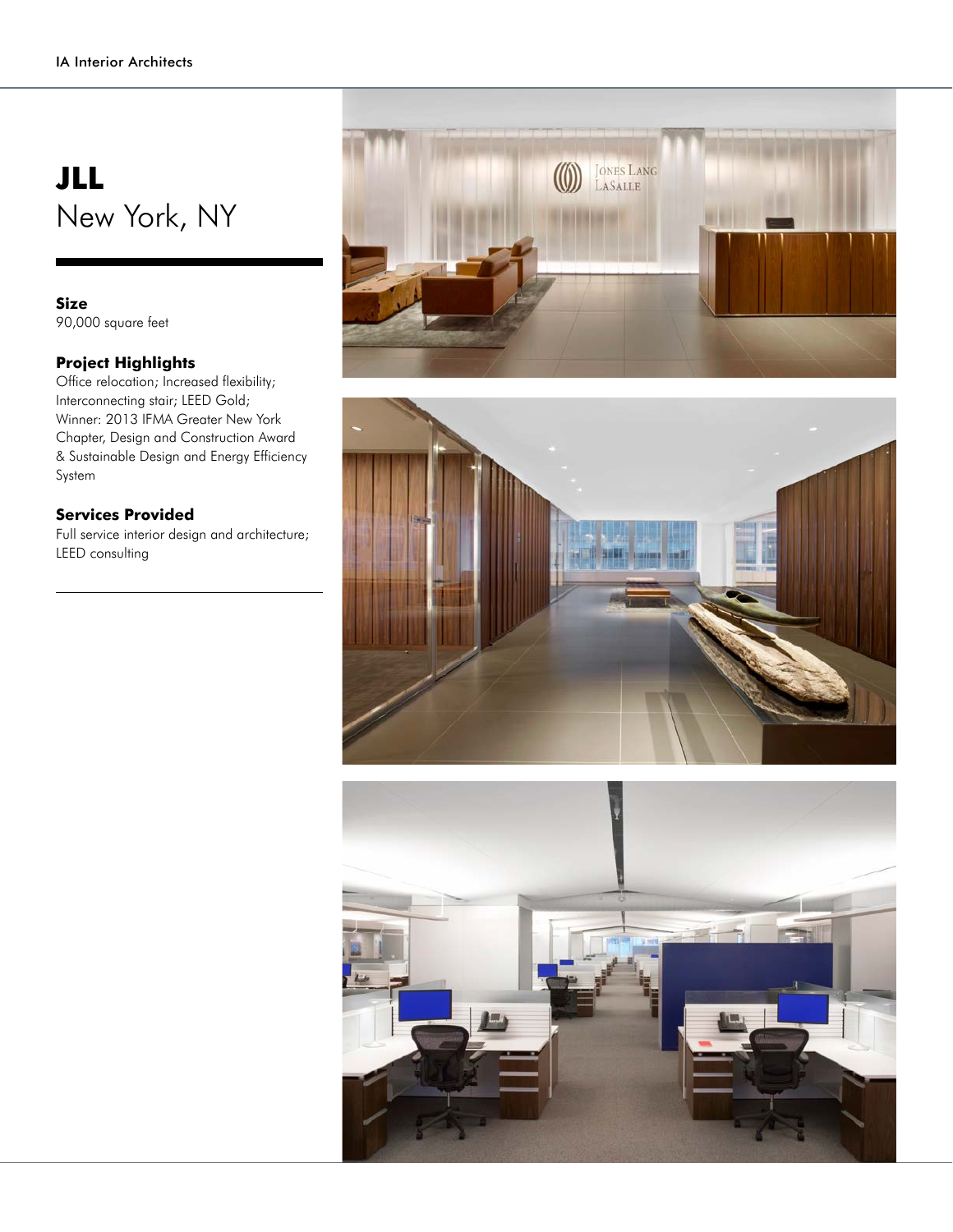## **JLL** New York, NY

## **Size**

90,000 square feet

## **Project Highlights**

Office relocation; Increased flexibility; Interconnecting stair; LEED Gold; Winner: 2013 IFMA Greater New York Chapter, Design and Construction Award & Sustainable Design and Energy Efficiency System

## **Services Provided**

Full service interior design and architecture; LEED consulting